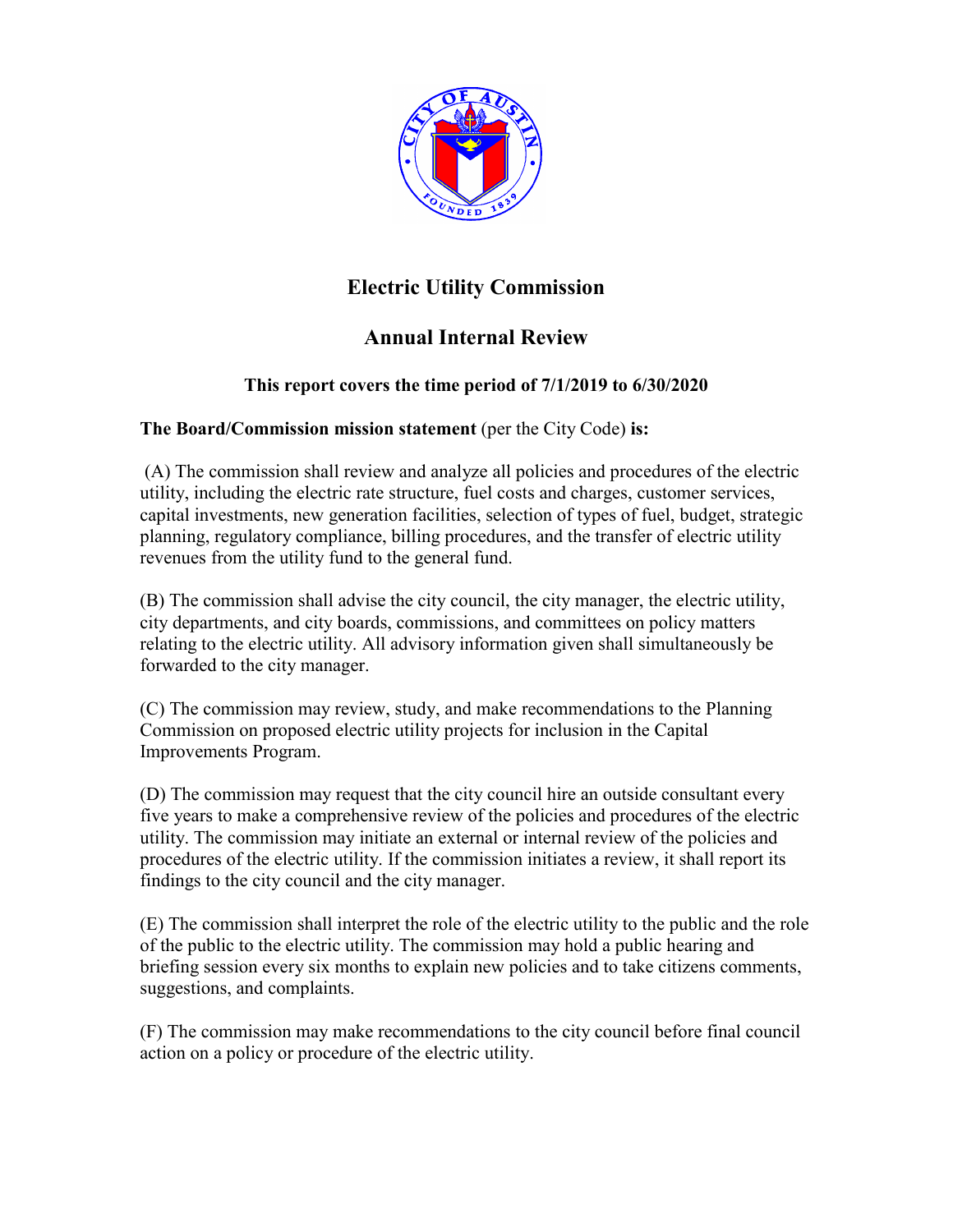

## **Electric Utility Commission**

# **Annual Internal Review**

### **This report covers the time period of 7/1/2019 to 6/30/2020**

### **The Board/Commission mission statement** (per the City Code) **is:**

(A) The commission shall review and analyze all policies and procedures of the electric utility, including the electric rate structure, fuel costs and charges, customer services, capital investments, new generation facilities, selection of types of fuel, budget, strategic planning, regulatory compliance, billing procedures, and the transfer of electric utility revenues from the utility fund to the general fund.

(B) The commission shall advise the city council, the city manager, the electric utility, city departments, and city boards, commissions, and committees on policy matters relating to the electric utility. All advisory information given shall simultaneously be forwarded to the city manager.

(C) The commission may review, study, and make recommendations to the Planning Commission on proposed electric utility projects for inclusion in the Capital Improvements Program.

(D) The commission may request that the city council hire an outside consultant every five years to make a comprehensive review of the policies and procedures of the electric utility. The commission may initiate an external or internal review of the policies and procedures of the electric utility. If the commission initiates a review, it shall report its findings to the city council and the city manager.

(E) The commission shall interpret the role of the electric utility to the public and the role of the public to the electric utility. The commission may hold a public hearing and briefing session every six months to explain new policies and to take citizens comments, suggestions, and complaints.

(F) The commission may make recommendations to the city council before final council action on a policy or procedure of the electric utility.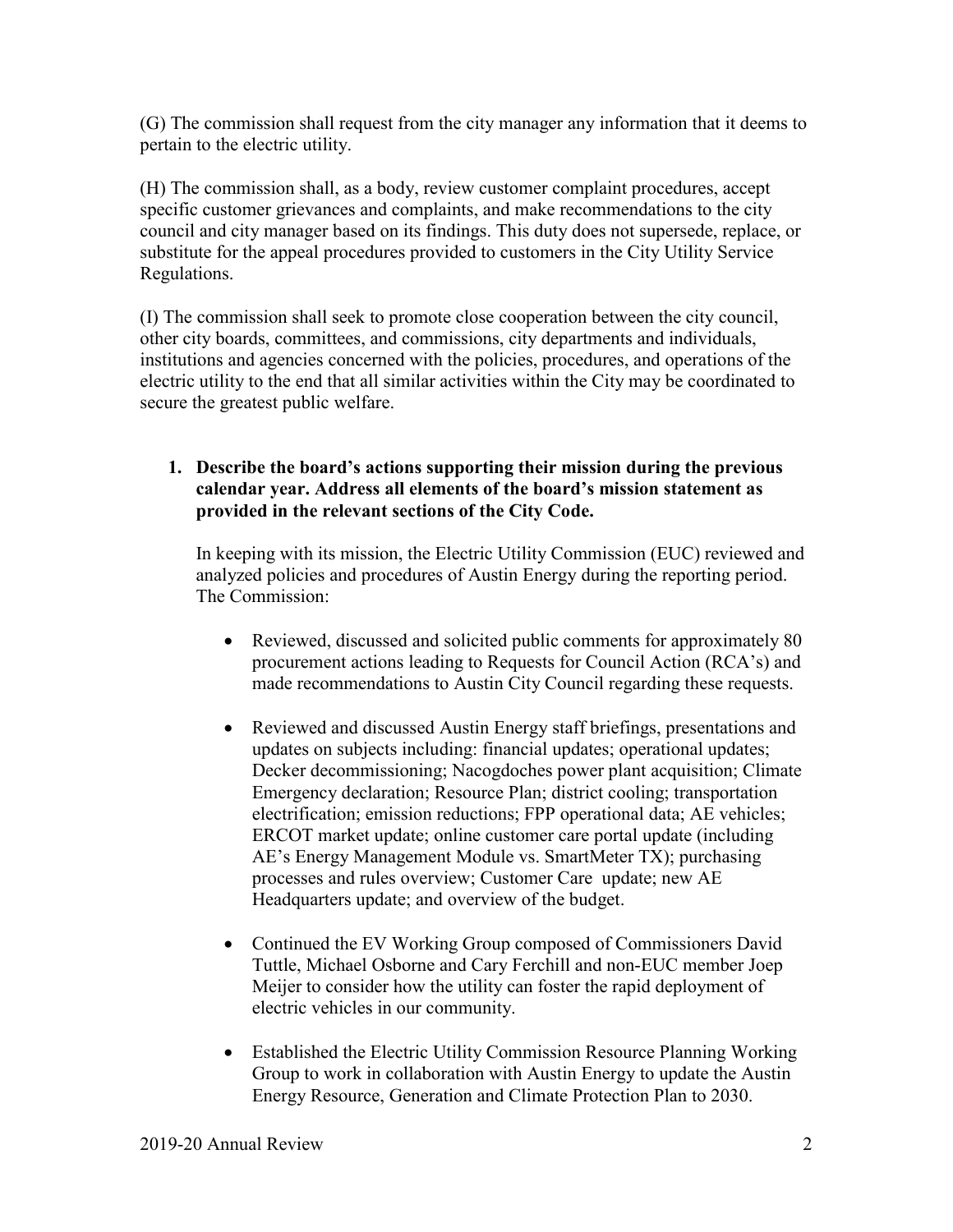(G) The commission shall request from the city manager any information that it deems to pertain to the electric utility.

(H) The commission shall, as a body, review customer complaint procedures, accept specific customer grievances and complaints, and make recommendations to the city council and city manager based on its findings. This duty does not supersede, replace, or substitute for the appeal procedures provided to customers in the City Utility Service Regulations.

(I) The commission shall seek to promote close cooperation between the city council, other city boards, committees, and commissions, city departments and individuals, institutions and agencies concerned with the policies, procedures, and operations of the electric utility to the end that all similar activities within the City may be coordinated to secure the greatest public welfare.

**1. Describe the board's actions supporting their mission during the previous calendar year. Address all elements of the board's mission statement as provided in the relevant sections of the City Code.** 

In keeping with its mission, the Electric Utility Commission (EUC) reviewed and analyzed policies and procedures of Austin Energy during the reporting period. The Commission:

- Reviewed, discussed and solicited public comments for approximately 80 procurement actions leading to Requests for Council Action (RCA's) and made recommendations to Austin City Council regarding these requests.
- Reviewed and discussed Austin Energy staff briefings, presentations and updates on subjects including: financial updates; operational updates; Decker decommissioning; Nacogdoches power plant acquisition; Climate Emergency declaration; Resource Plan; district cooling; transportation electrification; emission reductions; FPP operational data; AE vehicles; ERCOT market update; online customer care portal update (including AE's Energy Management Module vs. SmartMeter TX); purchasing processes and rules overview; Customer Care update; new AE Headquarters update; and overview of the budget.
- Continued the EV Working Group composed of Commissioners David Tuttle, Michael Osborne and Cary Ferchill and non-EUC member Joep Meijer to consider how the utility can foster the rapid deployment of electric vehicles in our community.
- Established the Electric Utility Commission Resource Planning Working Group to work in collaboration with Austin Energy to update the Austin Energy Resource, Generation and Climate Protection Plan to 2030.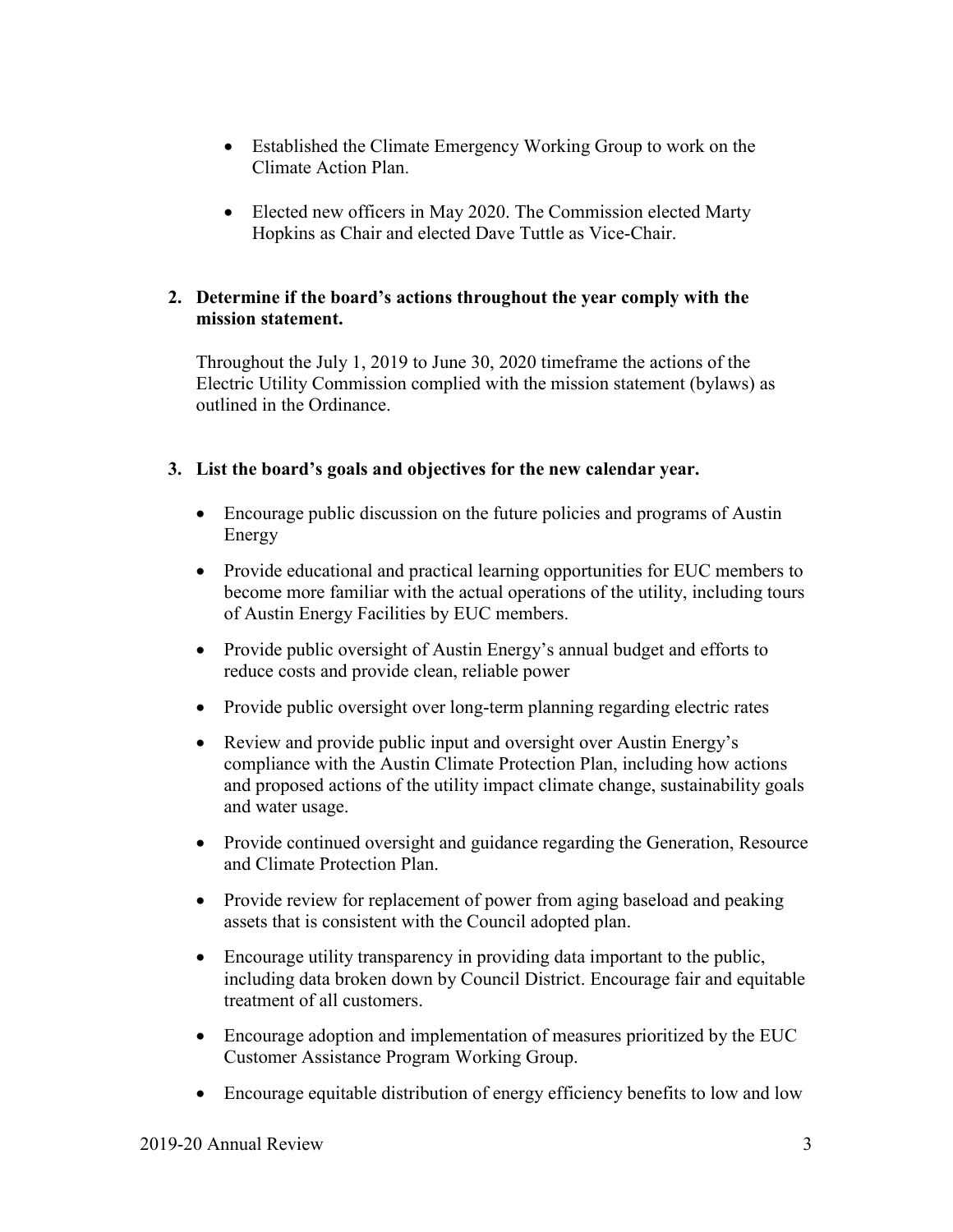- Established the Climate Emergency Working Group to work on the Climate Action Plan.
- Elected new officers in May 2020. The Commission elected Marty Hopkins as Chair and elected Dave Tuttle as Vice-Chair.

#### **2. Determine if the board's actions throughout the year comply with the mission statement.**

Throughout the July 1, 2019 to June 30, 2020 timeframe the actions of the Electric Utility Commission complied with the mission statement (bylaws) as outlined in the Ordinance.

### **3. List the board's goals and objectives for the new calendar year.**

- Encourage public discussion on the future policies and programs of Austin Energy
- Provide educational and practical learning opportunities for EUC members to become more familiar with the actual operations of the utility, including tours of Austin Energy Facilities by EUC members.
- Provide public oversight of Austin Energy's annual budget and efforts to reduce costs and provide clean, reliable power
- Provide public oversight over long-term planning regarding electric rates
- Review and provide public input and oversight over Austin Energy's compliance with the Austin Climate Protection Plan, including how actions and proposed actions of the utility impact climate change, sustainability goals and water usage.
- Provide continued oversight and guidance regarding the Generation, Resource and Climate Protection Plan.
- Provide review for replacement of power from aging baseload and peaking assets that is consistent with the Council adopted plan.
- Encourage utility transparency in providing data important to the public, including data broken down by Council District. Encourage fair and equitable treatment of all customers.
- Encourage adoption and implementation of measures prioritized by the EUC Customer Assistance Program Working Group.
- Encourage equitable distribution of energy efficiency benefits to low and low